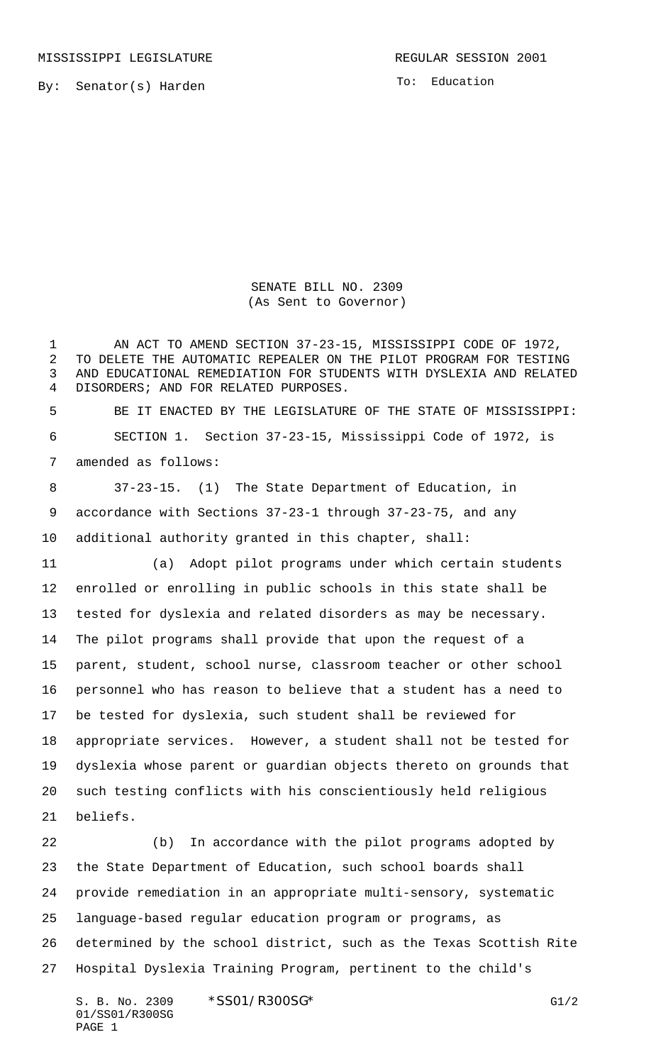MISSISSIPPI LEGISLATURE **REGULAR SESSION 2001** 

To: Education

SENATE BILL NO. 2309 (As Sent to Governor)

 AN ACT TO AMEND SECTION 37-23-15, MISSISSIPPI CODE OF 1972, TO DELETE THE AUTOMATIC REPEALER ON THE PILOT PROGRAM FOR TESTING AND EDUCATIONAL REMEDIATION FOR STUDENTS WITH DYSLEXIA AND RELATED DISORDERS; AND FOR RELATED PURPOSES.

 BE IT ENACTED BY THE LEGISLATURE OF THE STATE OF MISSISSIPPI: SECTION 1. Section 37-23-15, Mississippi Code of 1972, is amended as follows:

 37-23-15. (1) The State Department of Education, in accordance with Sections 37-23-1 through 37-23-75, and any additional authority granted in this chapter, shall:

 (a) Adopt pilot programs under which certain students enrolled or enrolling in public schools in this state shall be tested for dyslexia and related disorders as may be necessary. The pilot programs shall provide that upon the request of a parent, student, school nurse, classroom teacher or other school personnel who has reason to believe that a student has a need to be tested for dyslexia, such student shall be reviewed for appropriate services. However, a student shall not be tested for dyslexia whose parent or guardian objects thereto on grounds that such testing conflicts with his conscientiously held religious beliefs.

 (b) In accordance with the pilot programs adopted by the State Department of Education, such school boards shall provide remediation in an appropriate multi-sensory, systematic language-based regular education program or programs, as determined by the school district, such as the Texas Scottish Rite Hospital Dyslexia Training Program, pertinent to the child's

S. B. No. 2309 \* SSO1/R300SG\* G1/2 01/SS01/R300SG PAGE 1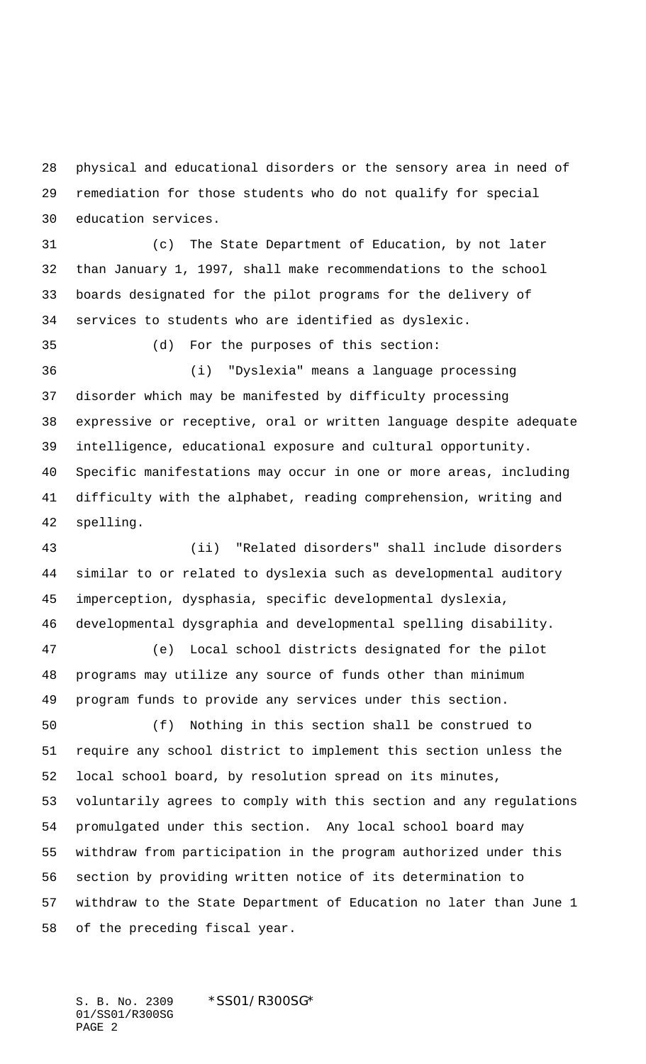physical and educational disorders or the sensory area in need of remediation for those students who do not qualify for special education services.

 (c) The State Department of Education, by not later than January 1, 1997, shall make recommendations to the school boards designated for the pilot programs for the delivery of services to students who are identified as dyslexic.

 (d) For the purposes of this section: (i) "Dyslexia" means a language processing disorder which may be manifested by difficulty processing expressive or receptive, oral or written language despite adequate intelligence, educational exposure and cultural opportunity. Specific manifestations may occur in one or more areas, including difficulty with the alphabet, reading comprehension, writing and spelling.

 (ii) "Related disorders" shall include disorders similar to or related to dyslexia such as developmental auditory imperception, dysphasia, specific developmental dyslexia, developmental dysgraphia and developmental spelling disability.

 (e) Local school districts designated for the pilot programs may utilize any source of funds other than minimum program funds to provide any services under this section.

 (f) Nothing in this section shall be construed to require any school district to implement this section unless the local school board, by resolution spread on its minutes, voluntarily agrees to comply with this section and any regulations promulgated under this section. Any local school board may withdraw from participation in the program authorized under this section by providing written notice of its determination to withdraw to the State Department of Education no later than June 1 of the preceding fiscal year.

S. B. No. 2309 \*SS01/R300SG\* 01/SS01/R300SG PAGE 2